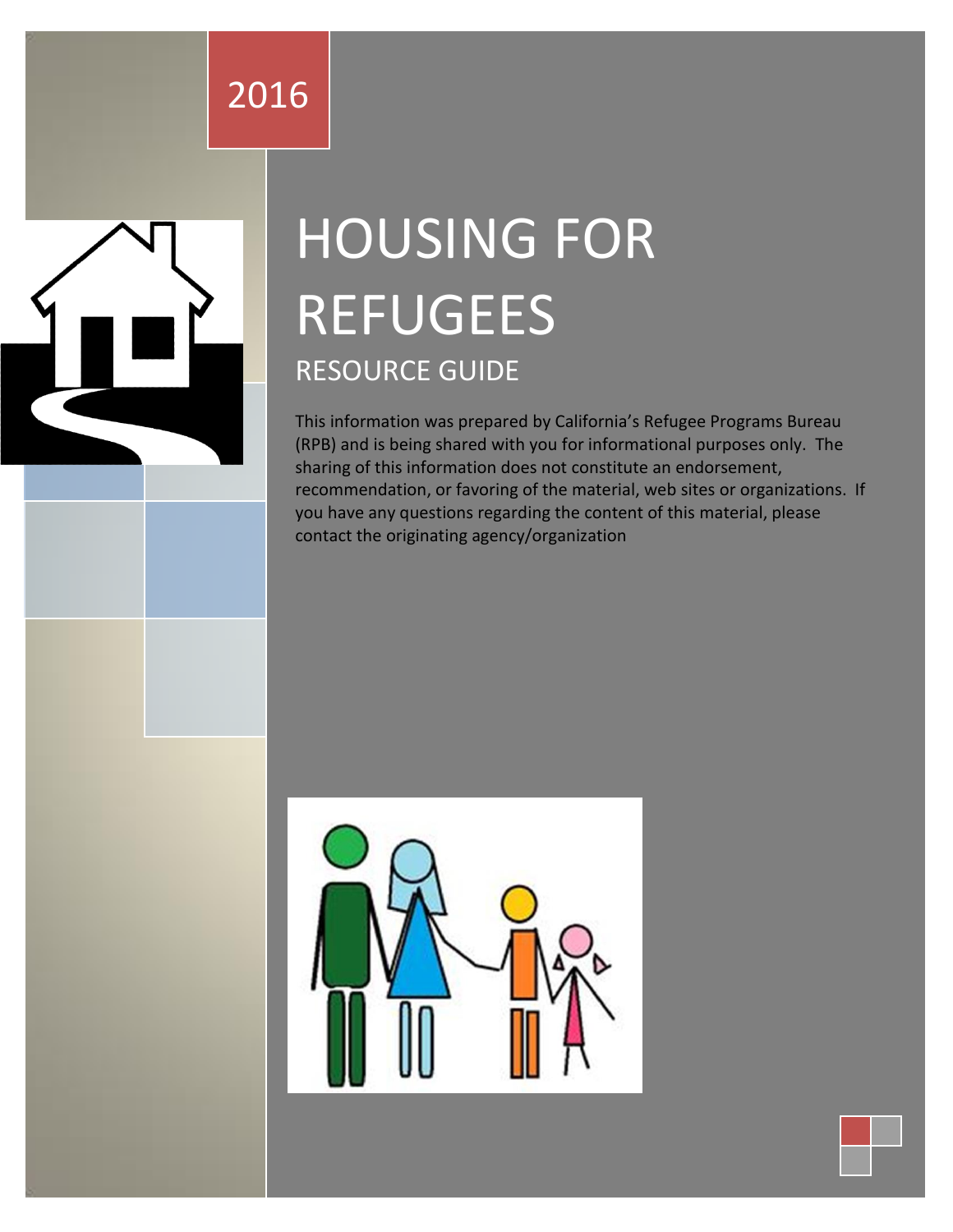## 2016

# HOUSING FOR REFUGEES RESOURCE GUIDE

This information was prepared by California's Refugee Programs Bureau (RPB) and is being shared with you for informational purposes only. The sharing of this information does not constitute an endorsement, recommendation, or favoring of the material, web sites or organizations. If you have any questions regarding the content of this material, please contact the originating agency/organization

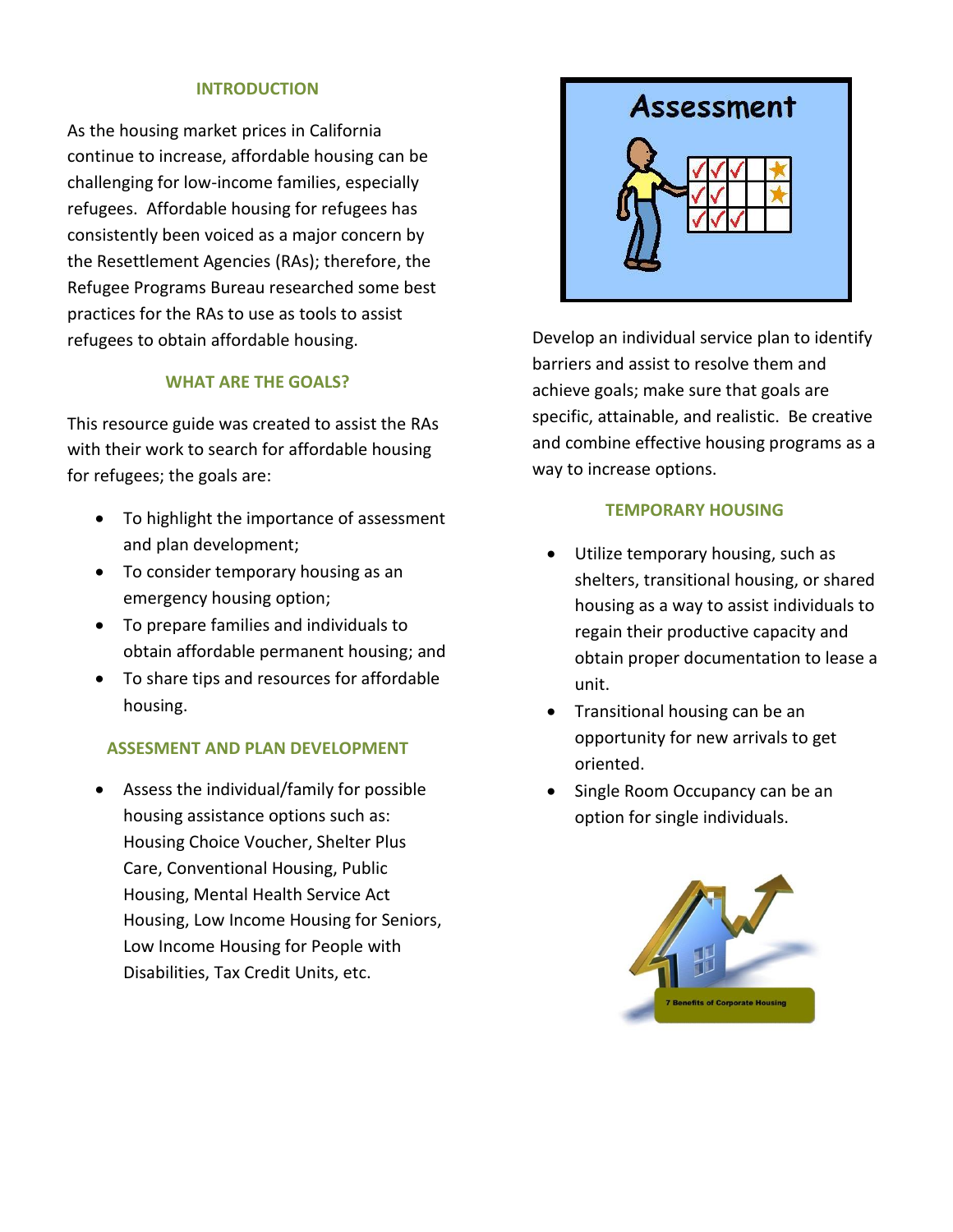#### **INTRODUCTION**

As the housing market prices in California continue to increase, affordable housing can be challenging for low-income families, especially refugees. Affordable housing for refugees has consistently been voiced as a major concern by the Resettlement Agencies (RAs); therefore, the Refugee Programs Bureau researched some best practices for the RAs to use as tools to assist refugees to obtain affordable housing.

#### **WHAT ARE THE GOALS?**

This resource guide was created to assist the RAs with their work to search for affordable housing for refugees; the goals are:

- To highlight the importance of assessment and plan development;
- To consider temporary housing as an emergency housing option;
- To prepare families and individuals to obtain affordable permanent housing; and
- To share tips and resources for affordable housing.

#### **ASSESMENT AND PLAN DEVELOPMENT**

 Assess the individual/family for possible housing assistance options such as: Housing Choice Voucher, Shelter Plus Care, Conventional Housing, Public Housing, Mental Health Service Act Housing, Low Income Housing for Seniors, Low Income Housing for People with Disabilities, Tax Credit Units, etc.



Develop an individual service plan to identify barriers and assist to resolve them and achieve goals; make sure that goals are specific, attainable, and realistic. Be creative and combine effective housing programs as a way to increase options.

#### **TEMPORARY HOUSING**

- Utilize temporary housing, such as shelters, transitional housing, or shared housing as a way to assist individuals to regain their productive capacity and obtain proper documentation to lease a unit.
- Transitional housing can be an opportunity for new arrivals to get oriented.
- Single Room Occupancy can be an option for single individuals.

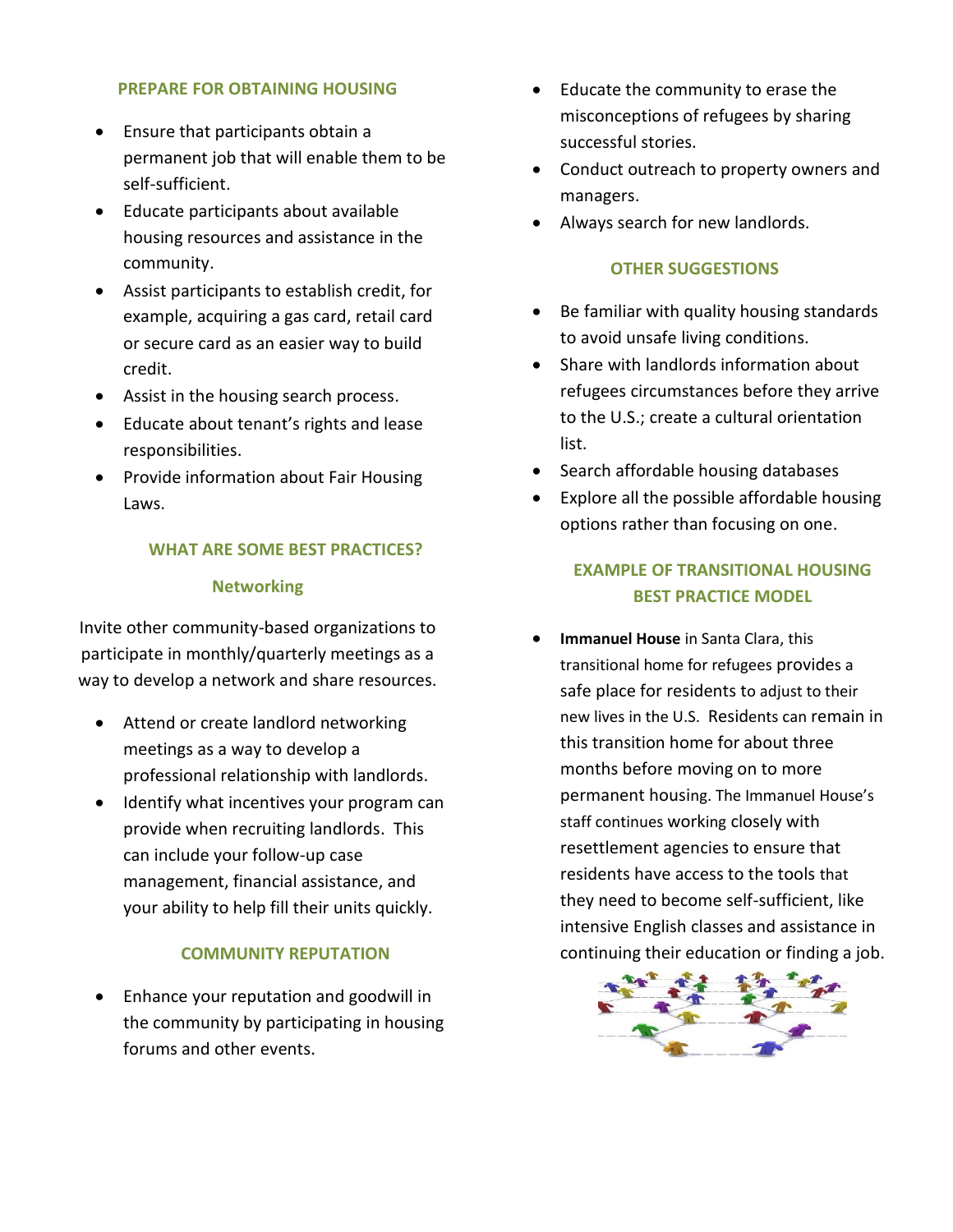#### **PREPARE FOR OBTAINING HOUSING**

- Ensure that participants obtain a permanent job that will enable them to be self-sufficient.
- Educate participants about available housing resources and assistance in the community.
- Assist participants to establish credit, for example, acquiring a gas card, retail card or secure card as an easier way to build credit.
- Assist in the housing search process.
- Educate about tenant's rights and lease responsibilities.
- Provide information about Fair Housing Laws.

#### **WHAT ARE SOME BEST PRACTICES?**

#### **Networking**

Invite other community-based organizations to participate in monthly/quarterly meetings as a way to develop a network and share resources.

- Attend or create landlord networking meetings as a way to develop a professional relationship with landlords.
- Identify what incentives your program can provide when recruiting landlords. This can include your follow-up case management, financial assistance, and your ability to help fill their units quickly.

#### **COMMUNITY REPUTATION**

• Enhance your reputation and goodwill in the community by participating in housing forums and other events.

- Educate the community to erase the misconceptions of refugees by sharing successful stories.
- Conduct outreach to property owners and managers.
- Always search for new landlords.

#### **OTHER SUGGESTIONS**

- Be familiar with quality housing standards to avoid unsafe living conditions.
- Share with landlords information about refugees circumstances before they arrive to the U.S.; create a cultural orientation list.
- Search affordable housing databases
- Explore all the possible affordable housing options rather than focusing on one.

#### **EXAMPLE OF TRANSITIONAL HOUSING BEST PRACTICE MODEL**

 **Immanuel House** in Santa Clara, this transitional home for refugees provides a safe place for residents to adjust to their new lives in the U.S. Residents can remain in this transition home for about three months before moving on to more permanent housing. The Immanuel House's staff continues working closely with resettlement agencies to ensure that residents have access to the tools that they need to become self-sufficient, like intensive English classes and assistance in continuing their education or finding a job.

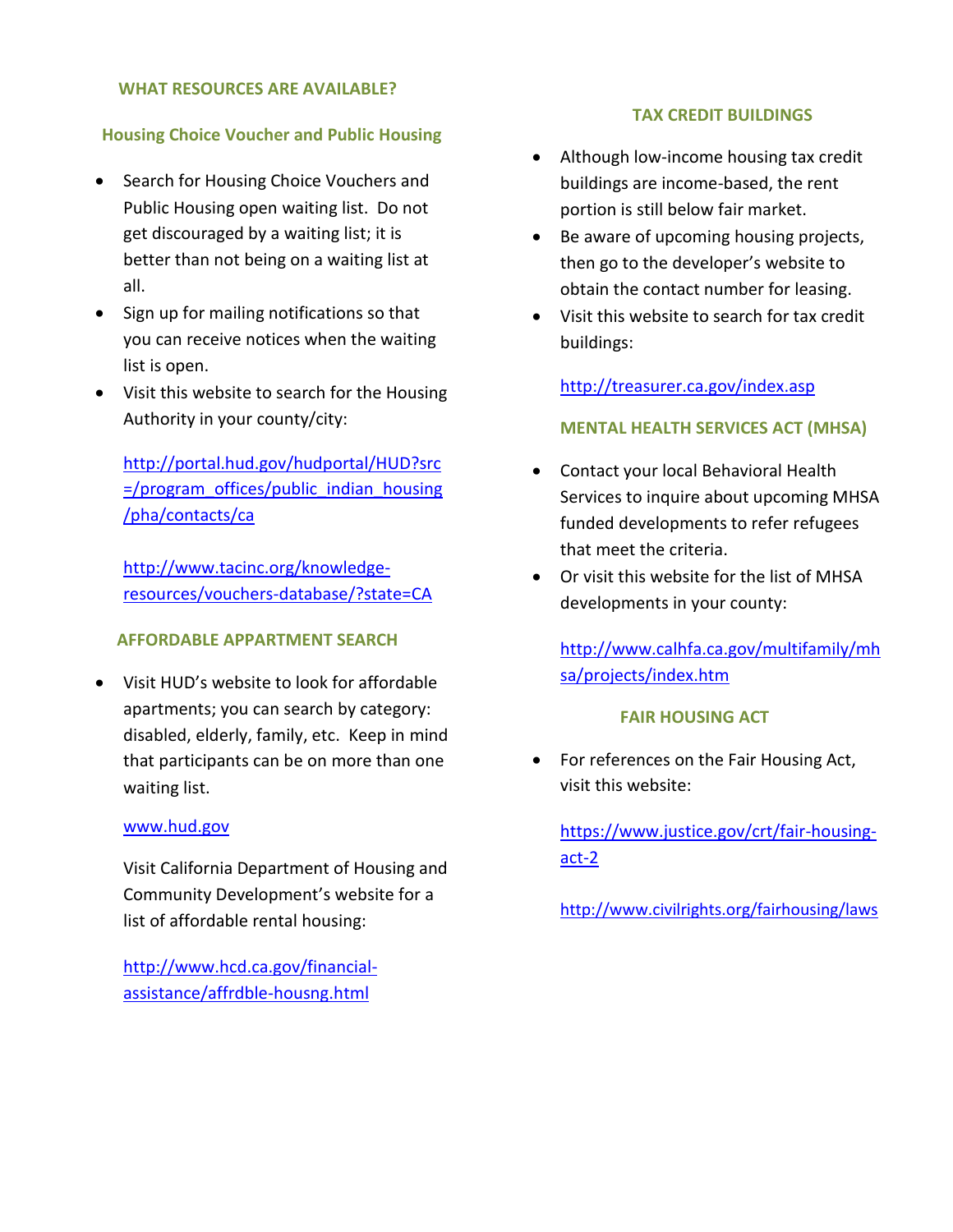#### **WHAT RESOURCES ARE AVAILABLE?**

#### **Housing Choice Voucher and Public Housing**

- Search for Housing Choice Vouchers and Public Housing open waiting list. Do not get discouraged by a waiting list; it is better than not being on a waiting list at all.
- Sign up for mailing notifications so that you can receive notices when the waiting list is open.
- Visit this website to search for the Housing Authority in your county/city:

[http://portal.hud.gov/hudportal/HUD?src](http://portal.hud.gov/hudportal/HUD?src=/program_offices/public_indian_housing/pha/contacts/ca) [=/program\\_offices/public\\_indian\\_housing](http://portal.hud.gov/hudportal/HUD?src=/program_offices/public_indian_housing/pha/contacts/ca) [/pha/contacts/ca](http://portal.hud.gov/hudportal/HUD?src=/program_offices/public_indian_housing/pha/contacts/ca)

[http://www.tacinc.org/knowledge](http://www.tacinc.org/knowledge-resources/vouchers-database/?state=CA)[resources/vouchers-database/?state=CA](http://www.tacinc.org/knowledge-resources/vouchers-database/?state=CA)

#### **AFFORDABLE APPARTMENT SEARCH**

 Visit HUD's website to look for affordable apartments; you can search by category: disabled, elderly, family, etc. Keep in mind that participants can be on more than one waiting list.

#### [www.hud.gov](http://www.hud.gov/)

Visit California Department of Housing and Community Development's website for a list of affordable rental housing:

[http://www.hcd.ca.gov/financial](http://www.hcd.ca.gov/financial-assistance/affrdble-housng.html)[assistance/affrdble-housng.html](http://www.hcd.ca.gov/financial-assistance/affrdble-housng.html)

#### **TAX CREDIT BUILDINGS**

- Although low-income housing tax credit buildings are income-based, the rent portion is still below fair market.
- Be aware of upcoming housing projects, then go to the developer's website to obtain the contact number for leasing.
- Visit this website to search for tax credit buildings:

<http://treasurer.ca.gov/index.asp>

#### **MENTAL HEALTH SERVICES ACT (MHSA)**

- Contact your local Behavioral Health Services to inquire about upcoming MHSA funded developments to refer refugees that meet the criteria.
- Or visit this website for the list of MHSA developments in your county:

[http://www.calhfa.ca.gov/multifamily/mh](http://www.calhfa.ca.gov/multifamily/mhsa/projects/index.htm) [sa/projects/index.htm](http://www.calhfa.ca.gov/multifamily/mhsa/projects/index.htm)

#### **FAIR HOUSING ACT**

 For references on the Fair Housing Act, visit this website:

[https://www.justice.gov/crt/fair-housing](https://www.justice.gov/crt/fair-housing-act-2)[act-2](https://www.justice.gov/crt/fair-housing-act-2)

<http://www.civilrights.org/fairhousing/laws>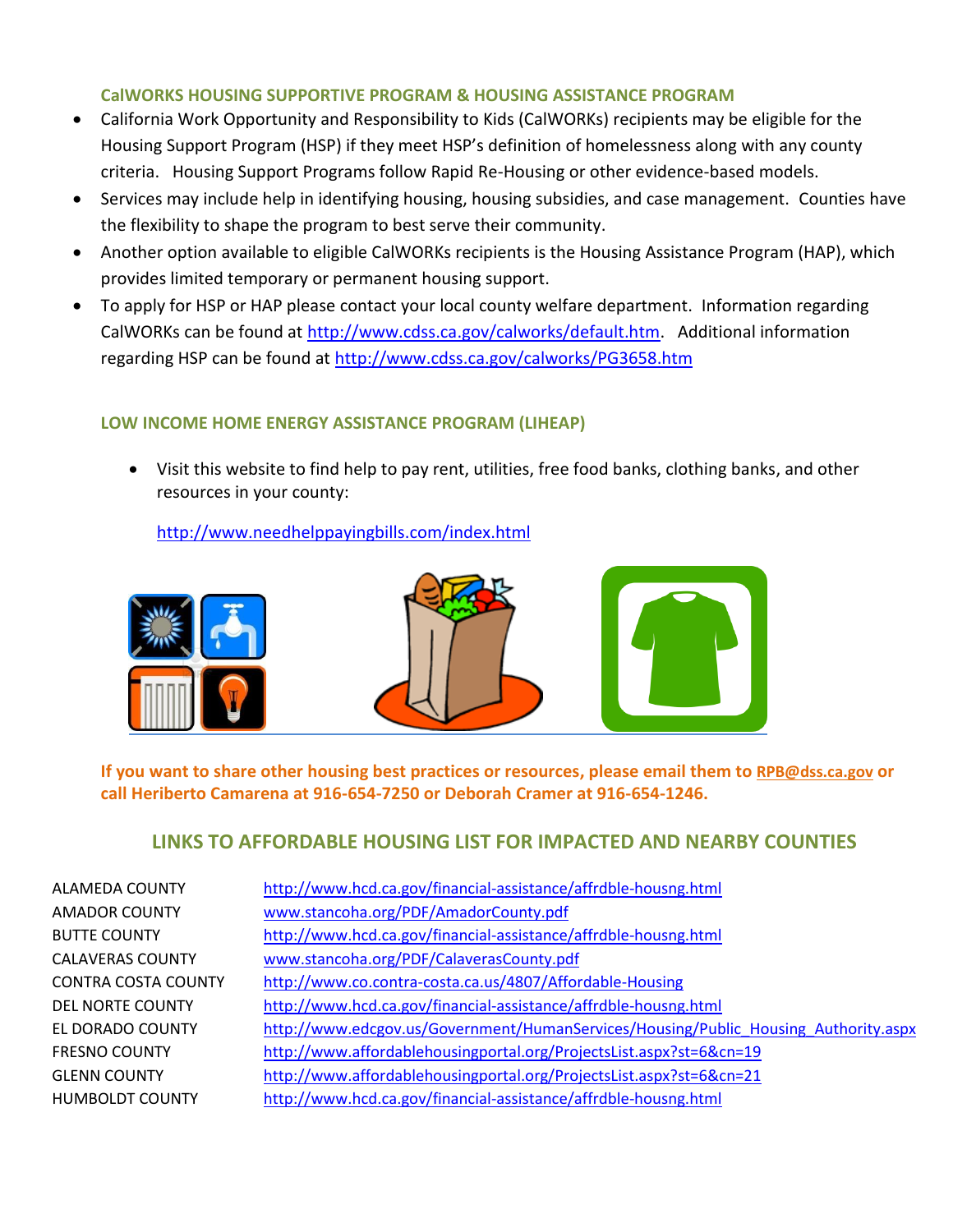#### **CalWORKS HOUSING SUPPORTIVE PROGRAM & HOUSING ASSISTANCE PROGRAM**

- California Work Opportunity and Responsibility to Kids (CalWORKs) recipients may be eligible for the Housing Support Program (HSP) if they meet HSP's definition of homelessness along with any county criteria. Housing Support Programs follow Rapid Re-Housing or other evidence-based models.
- Services may include help in identifying housing, housing subsidies, and case management. Counties have the flexibility to shape the program to best serve their community.
- Another option available to eligible CalWORKs recipients is the Housing Assistance Program (HAP), which provides limited temporary or permanent housing support.
- To apply for HSP or HAP please contact your local county welfare department. Information regarding CalWORKs can be found at [http://www.cdss.ca.gov/calworks/default.htm.](http://www.cdss.ca.gov/calworks/default.htm) Additional information regarding HSP can be found at<http://www.cdss.ca.gov/calworks/PG3658.htm>

#### **LOW INCOME HOME ENERGY ASSISTANCE PROGRAM (LIHEAP)**

 Visit this website to find help to pay rent, utilities, free food banks, clothing banks, and other resources in your county:

<http://www.needhelppayingbills.com/index.html>



**If you want to share other housing best practices or resources, please email them to [RPB@dss.ca.gov](mailto:RPB@dss.ca.gov) or call Heriberto Camarena at 916-654-7250 or Deborah Cramer at 916-654-1246.**

### **LINKS TO AFFORDABLE HOUSING LIST FOR IMPACTED AND NEARBY COUNTIES**

| ALAMEDA COUNTY             | http://www.hcd.ca.gov/financial-assistance/affrdble-housng.html                     |
|----------------------------|-------------------------------------------------------------------------------------|
| <b>AMADOR COUNTY</b>       | www.stancoha.org/PDF/AmadorCounty.pdf                                               |
| <b>BUTTE COUNTY</b>        | http://www.hcd.ca.gov/financial-assistance/affrdble-housng.html                     |
| <b>CALAVERAS COUNTY</b>    | www.stancoha.org/PDF/CalaverasCounty.pdf                                            |
| <b>CONTRA COSTA COUNTY</b> | http://www.co.contra-costa.ca.us/4807/Affordable-Housing                            |
| DEL NORTE COUNTY           | http://www.hcd.ca.gov/financial-assistance/affrdble-housng.html                     |
| EL DORADO COUNTY           | http://www.edcgov.us/Government/HumanServices/Housing/Public Housing Authority.aspx |
| <b>FRESNO COUNTY</b>       | http://www.affordablehousingportal.org/ProjectsList.aspx?st=6&cn=19                 |
| <b>GLENN COUNTY</b>        | http://www.affordablehousingportal.org/ProjectsList.aspx?st=6&cn=21                 |
| <b>HUMBOLDT COUNTY</b>     | http://www.hcd.ca.gov/financial-assistance/affrdble-housng.html                     |
|                            |                                                                                     |